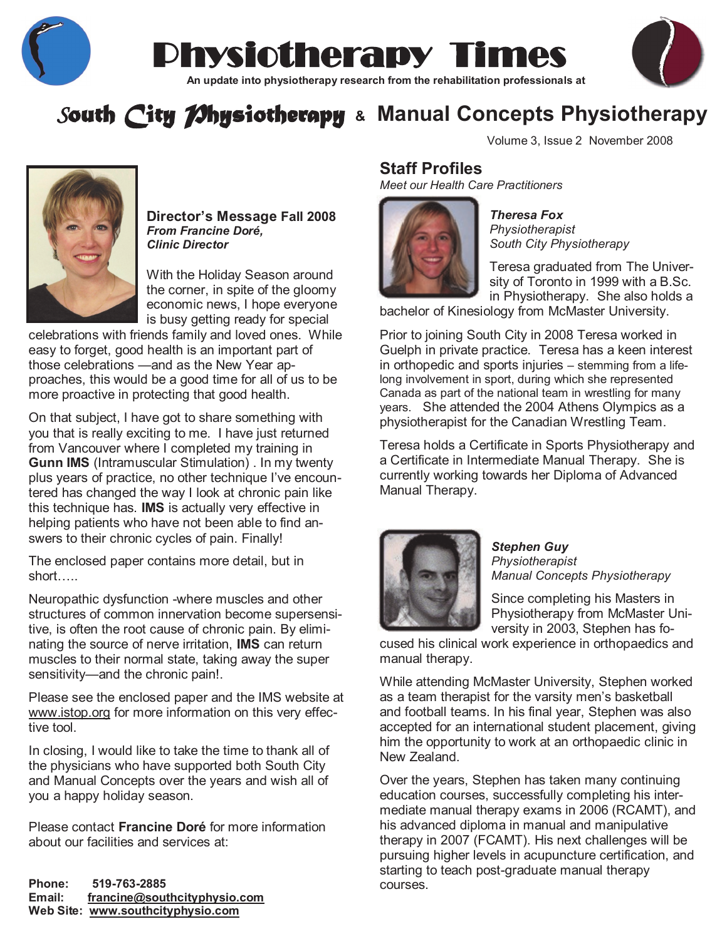

# Physiotherapy Times **AN UPDATE CONSTRANSION CONSTRANSION CONSTRANSION CONSTRANSION CONSTRANSION CONSTRANSION CONSTRANSION CONSTRANSION CONSTRANSION CONSTRANSION CONSTRANSION CONSTRANSION CONSTRANSION CONSTRANSION CONSTRANSION CONSTRANSION CON**



# *South City Physiotherapy* **& Manual Concepts Physiotherapy**



**Director's Message Fall 2008**  *From Francine Doré, Clinic Director*

With the Holiday Season around the corner, in spite of the gloomy economic news, I hope everyone is busy getting ready for special

celebrations with friends family and loved ones. While easy to forget, good health is an important part of those celebrations —and as the New Year approaches, this would be a good time for all of us to be more proactive in protecting that good health.

On that subject, I have got to share something with you that is really exciting to me. I have just returned from Vancouver where I completed my training in **Gunn IMS** (Intramuscular Stimulation) . In my twenty plus years of practice, no other technique I've encountered has changed the way I look at chronic pain like this technique has. **IMS** is actually very effective in helping patients who have not been able to find answers to their chronic cycles of pain. Finally!

The enclosed paper contains more detail, but in short…..

Neuropathic dysfunction -where muscles and other structures of common innervation become supersensitive, is often the root cause of chronic pain. By eliminating the source of nerve irritation, **IMS** can return muscles to their normal state, taking away the super sensitivity—and the chronic pain!.

Please see the enclosed paper and the IMS website at [www.istop.org](http://www.istop.org/) for more information on this very effective tool.

In closing, I would like to take the time to thank all of the physicians who have supported both South City and Manual Concepts over the years and wish all of you a happy holiday season.

Please contact **Francine Doré** for more information about our facilities and services at:

**Phone: 519-763-2885 Email: [francine@southcityphysio.com](mailto:francine@southcityphysio.com) Web Site: [www.southcityphysio.com](http://www.southcityphysio.com/)**

Volume 3, Issue 2 November 2008

### **Staff Profiles**

*Meet our Health Care Practitioners*



*Theresa Fox Physiotherapist South City Physiotherapy*

Teresa graduated from The University of Toronto in 1999 with a B.Sc. in Physiotherapy. She also holds a

bachelor of Kinesiology from McMaster University.

Prior to joining South City in 2008 Teresa worked in Guelph in private practice. Teresa has a keen interest in orthopedic and sports injuries – stemming from a lifelong involvement in sport, during which she represented Canada as part of the national team in wrestling for many years. She attended the 2004 Athens Olympics as a physiotherapist for the Canadian Wrestling Team.

Teresa holds a Certificate in Sports Physiotherapy and a Certificate in Intermediate Manual Therapy. She is currently working towards her Diploma of Advanced Manual Therapy.



*Stephen Guy Physiotherapist Manual Concepts Physiotherapy*

Since completing his Masters in Physiotherapy from McMaster University in 2003, Stephen has fo-

cused his clinical work experience in orthopaedics and manual therapy.

While attending McMaster University, Stephen worked as a team therapist for the varsity men's basketball and football teams. In his final year, Stephen was also accepted for an international student placement, giving him the opportunity to work at an orthopaedic clinic in New Zealand.

Over the years, Stephen has taken many continuing education courses, successfully completing his intermediate manual therapy exams in 2006 (RCAMT), and his advanced diploma in manual and manipulative therapy in 2007 (FCAMT). His next challenges will be pursuing higher levels in acupuncture certification, and starting to teach post-graduate manual therapy courses.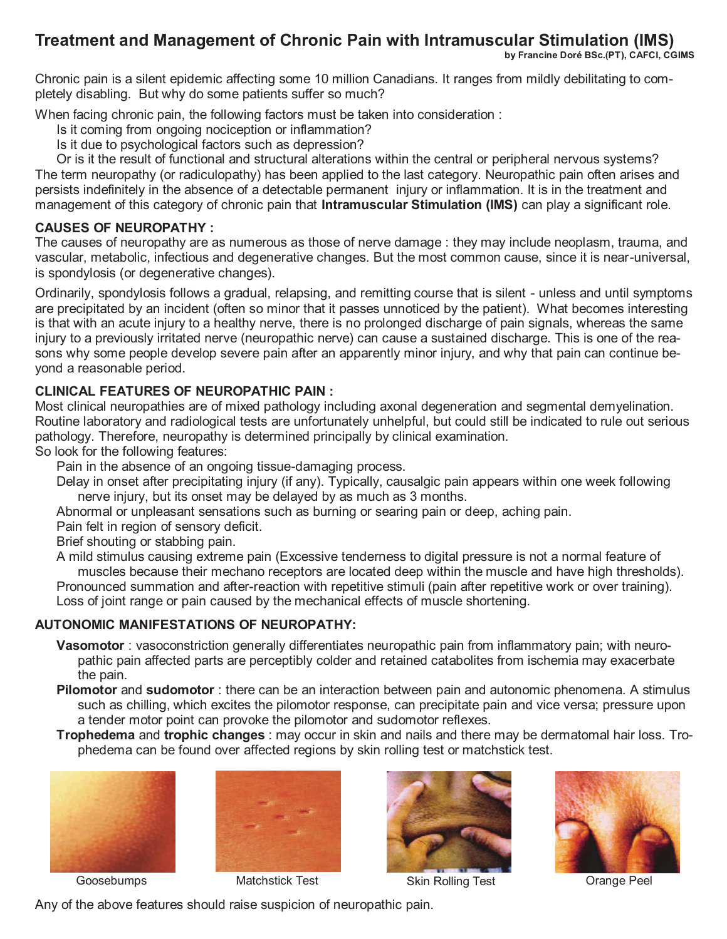### **Treatment and Management of Chronic Pain with Intramuscular Stimulation (IMS)**

**by Francine Doré BSc.(PT), CAFCI, CGIMS** 

Chronic pain is a silent epidemic affecting some 10 million Canadians. It ranges from mildly debilitating to completely disabling. But why do some patients suffer so much?

When facing chronic pain, the following factors must be taken into consideration :

Is it coming from ongoing nociception or inflammation?

Is it due to psychological factors such as depression?

Or is it the result of functional and structural alterations within the central or peripheral nervous systems? The term neuropathy (or radiculopathy) has been applied to the last category. Neuropathic pain often arises and persists indefinitely in the absence of a detectable permanent injury or inflammation. It is in the treatment and management of this category of chronic pain that **Intramuscular Stimulation (IMS)** can play a significant role.

#### **CAUSES OF NEUROPATHY :**

The causes of neuropathy are as numerous as those of nerve damage : they may include neoplasm, trauma, and vascular, metabolic, infectious and degenerative changes. But the most common cause, since it is near-universal, is spondylosis (or degenerative changes).

Ordinarily, spondylosis follows a gradual, relapsing, and remitting course that is silent - unless and until symptoms are precipitated by an incident (often so minor that it passes unnoticed by the patient). What becomes interesting is that with an acute injury to a healthy nerve, there is no prolonged discharge of pain signals, whereas the same injury to a previously irritated nerve (neuropathic nerve) can cause a sustained discharge. This is one of the reasons why some people develop severe pain after an apparently minor injury, and why that pain can continue beyond a reasonable period.

#### **CLINICAL FEATURES OF NEUROPATHIC PAIN :**

Most clinical neuropathies are of mixed pathology including axonal degeneration and segmental demyelination. Routine laboratory and radiological tests are unfortunately unhelpful, but could still be indicated to rule out serious pathology. Therefore, neuropathy is determined principally by clinical examination.

So look for the following features:

Pain in the absence of an ongoing tissue-damaging process.

Delay in onset after precipitating injury (if any). Typically, causalgic pain appears within one week following nerve injury, but its onset may be delayed by as much as 3 months.

Abnormal or unpleasant sensations such as burning or searing pain or deep, aching pain.

Pain felt in region of sensory deficit.

Brief shouting or stabbing pain.

A mild stimulus causing extreme pain (Excessive tenderness to digital pressure is not a normal feature of muscles because their mechano receptors are located deep within the muscle and have high thresholds). Pronounced summation and after-reaction with repetitive stimuli (pain after repetitive work or over training). Loss of joint range or pain caused by the mechanical effects of muscle shortening.

#### **AUTONOMIC MANIFESTATIONS OF NEUROPATHY:**

- **Vasomotor** : vasoconstriction generally differentiates neuropathic pain from inflammatory pain; with neuropathic pain affected parts are perceptibly colder and retained catabolites from ischemia may exacerbate the pain.
- **Pilomotor** and **sudomotor** : there can be an interaction between pain and autonomic phenomena. A stimulus such as chilling, which excites the pilomotor response, can precipitate pain and vice versa; pressure upon a tender motor point can provoke the pilomotor and sudomotor reflexes.
- **Trophedema** and **trophic changes** : may occur in skin and nails and there may be dermatomal hair loss. Trophedema can be found over affected regions by skin rolling test or matchstick test.







Goosebumps **Matchstick Test** Skin Rolling Test **Crange Peel** 



Any of the above features should raise suspicion of neuropathic pain.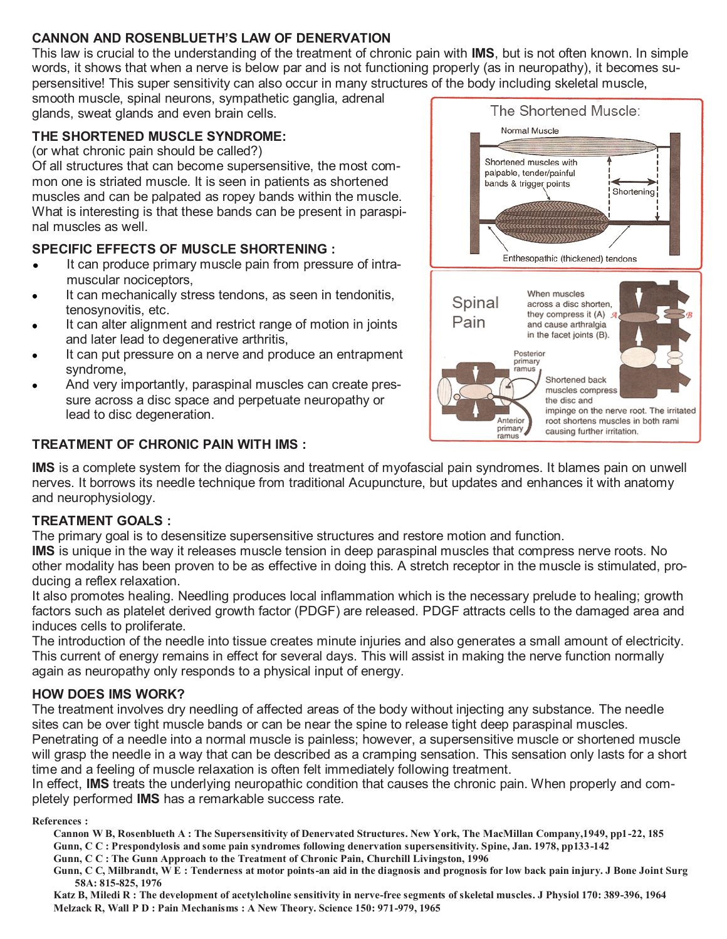### **CANNON AND ROSENBLUETH'S LAW OF DENERVATION**

This law is crucial to the understanding of the treatment of chronic pain with **IMS**, but is not often known. In simple words, it shows that when a nerve is below par and is not functioning properly (as in neuropathy), it becomes supersensitive! This super sensitivity can also occur in many structures of the body including skeletal muscle,

smooth muscle, spinal neurons, sympathetic ganglia, adrenal glands, sweat glands and even brain cells.

#### **THE SHORTENED MUSCLE SYNDROME:**

(or what chronic pain should be called?)

Of all structures that can become supersensitive, the most common one is striated muscle. It is seen in patients as shortened muscles and can be palpated as ropey bands within the muscle. What is interesting is that these bands can be present in paraspinal muscles as well.

#### **SPECIFIC EFFECTS OF MUSCLE SHORTENING :**

- It can produce primary muscle pain from pressure of intra- $\bullet$ muscular nociceptors,
- It can mechanically stress tendons, as seen in tendonitis, tenosynovitis, etc.
- It can alter alignment and restrict range of motion in joints and later lead to degenerative arthritis,
- It can put pressure on a nerve and produce an entrapment syndrome,
- And very importantly, paraspinal muscles can create pressure across a disc space and perpetuate neuropathy or lead to disc degeneration.

#### **TREATMENT OF CHRONIC PAIN WITH IMS :**



**IMS** is a complete system for the diagnosis and treatment of myofascial pain syndromes. It blames pain on unwell nerves. It borrows its needle technique from traditional Acupuncture, but updates and enhances it with anatomy and neurophysiology.

#### **TREATMENT GOALS :**

The primary goal is to desensitize supersensitive structures and restore motion and function.

**IMS** is unique in the way it releases muscle tension in deep paraspinal muscles that compress nerve roots. No other modality has been proven to be as effective in doing this. A stretch receptor in the muscle is stimulated, producing a reflex relaxation.

It also promotes healing. Needling produces local inflammation which is the necessary prelude to healing; growth factors such as platelet derived growth factor (PDGF) are released. PDGF attracts cells to the damaged area and induces cells to proliferate.

The introduction of the needle into tissue creates minute injuries and also generates a small amount of electricity. This current of energy remains in effect for several days. This will assist in making the nerve function normally again as neuropathy only responds to a physical input of energy.

#### **HOW DOES IMS WORK?**

The treatment involves dry needling of affected areas of the body without injecting any substance. The needle sites can be over tight muscle bands or can be near the spine to release tight deep paraspinal muscles. Penetrating of a needle into a normal muscle is painless; however, a supersensitive muscle or shortened muscle

will grasp the needle in a way that can be described as a cramping sensation. This sensation only lasts for a short time and a feeling of muscle relaxation is often felt immediately following treatment.

In effect, **IMS** treats the underlying neuropathic condition that causes the chronic pain. When properly and completely performed **IMS** has a remarkable success rate.

#### **References :**

- **Cannon W B, Rosenblueth A : The Supersensitivity of Denervated Structures. New York, The MacMillan Company,1949, pp1-22, 185 Gunn, C C : Prespondylosis and some pain syndromes following denervation supersensitivity. Spine, Jan. 1978, pp133-142**
- **Gunn, C C : The Gunn Approach to the Treatment of Chronic Pain, Churchill Livingston, 1996**
- **Gunn, C C, Milbrandt, W E : Tenderness at motor points-an aid in the diagnosis and prognosis for low back pain injury. J Bone Joint Surg 58A: 815-825, 1976**
- **Katz B, Miledi R : The development of acetylcholine sensitivity in nerve-free segments of skeletal muscles. J Physiol 170: 389-396, 1964 Melzack R, Wall P D : Pain Mechanisms : A New Theory. Science 150: 971-979, 1965**